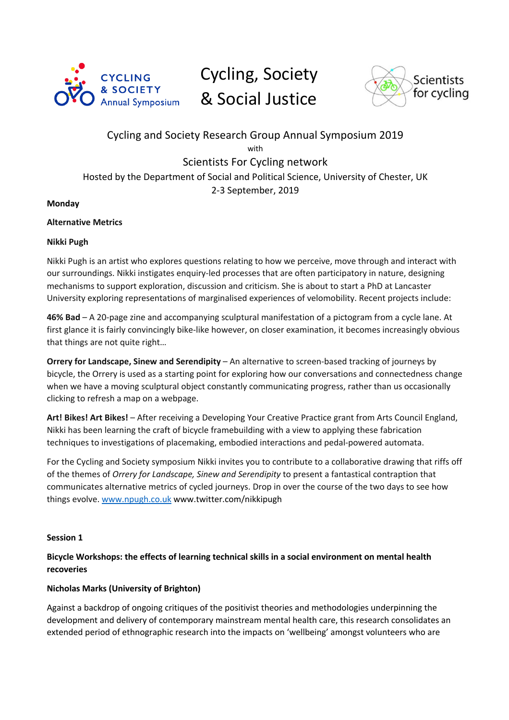

# Cycling, Society & Social Justice



# Cycling and Society Research Group Annual Symposium 2019 with Scientists For Cycling network Hosted by the Department of Social and Political Science, University of Chester, UK 2-3 September, 2019

## **Monday**

## **Alternative Metrics**

## **Nikki Pugh**

Nikki Pugh is an artist who explores questions relating to how we perceive, move through and interact with our surroundings. Nikki instigates enquiry-led processes that are often participatory in nature, designing mechanisms to support exploration, discussion and criticism. She is about to start a PhD at Lancaster University exploring representations of marginalised experiences of velomobility. Recent projects include:

**46% Bad** – A 20-page zine and accompanying sculptural manifestation of a pictogram from a cycle lane. At first glance it is fairly convincingly bike-like however, on closer examination, it becomes increasingly obvious that things are not quite right…

**Orrery for Landscape, Sinew and Serendipity** – An alternative to screen-based tracking of journeys by bicycle, the Orrery is used as a starting point for exploring how our conversations and connectedness change when we have a moving sculptural object constantly communicating progress, rather than us occasionally clicking to refresh a map on a webpage.

**Art! Bikes! Art Bikes!** – After receiving a Developing Your Creative Practice grant from Arts Council England, Nikki has been learning the craft of bicycle framebuilding with a view to applying these fabrication techniques to investigations of placemaking, embodied interactions and pedal-powered automata.

For the Cycling and Society symposium Nikki invites you to contribute to a collaborative drawing that riffs off of the themes of *Orrery for Landscape, Sinew and Serendipity* to present a fantastical contraption that communicates alternative metrics of cycled journeys. Drop in over the course of the two days to see how things evolve. www.npugh.co.uk www.twitter.com/nikkipugh

#### **Session 1**

# **Bicycle Workshops: the effects of learning technical skills in a social environment on mental health recoveries**

# **Nicholas Marks (University of Brighton)**

Against a backdrop of ongoing critiques of the positivist theories and methodologies underpinning the development and delivery of contemporary mainstream mental health care, this research consolidates an extended period of ethnographic research into the impacts on 'wellbeing' amongst volunteers who are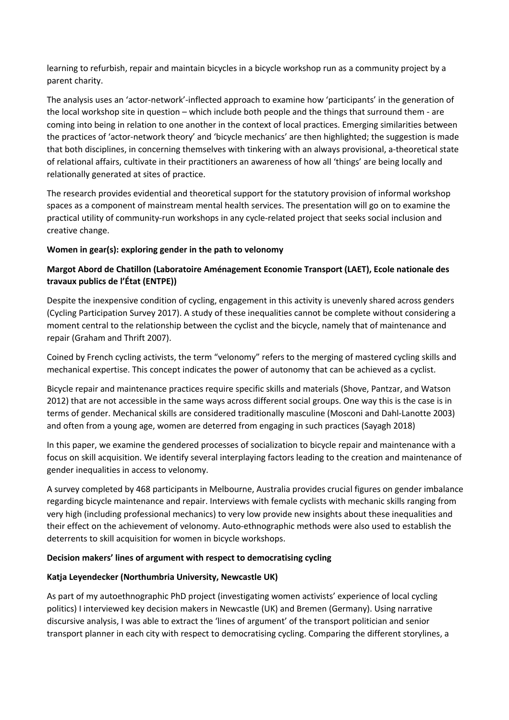learning to refurbish, repair and maintain bicycles in a bicycle workshop run as a community project by a parent charity.

The analysis uses an 'actor-network'-inflected approach to examine how 'participants' in the generation of the local workshop site in question – which include both people and the things that surround them - are coming into being in relation to one another in the context of local practices. Emerging similarities between the practices of 'actor-network theory' and 'bicycle mechanics' are then highlighted; the suggestion is made that both disciplines, in concerning themselves with tinkering with an always provisional, a-theoretical state of relational affairs, cultivate in their practitioners an awareness of how all 'things' are being locally and relationally generated at sites of practice.

The research provides evidential and theoretical support for the statutory provision of informal workshop spaces as a component of mainstream mental health services. The presentation will go on to examine the practical utility of community-run workshops in any cycle-related project that seeks social inclusion and creative change.

## **Women in gear(s): exploring gender in the path to velonomy**

# **Margot Abord de Chatillon (Laboratoire Aménagement Economie Transport (LAET), Ecole nationale des travaux publics de l'État (ENTPE))**

Despite the inexpensive condition of cycling, engagement in this activity is unevenly shared across genders (Cycling Participation Survey 2017). A study of these inequalities cannot be complete without considering a moment central to the relationship between the cyclist and the bicycle, namely that of maintenance and repair (Graham and Thrift 2007).

Coined by French cycling activists, the term "velonomy" refers to the merging of mastered cycling skills and mechanical expertise. This concept indicates the power of autonomy that can be achieved as a cyclist.

Bicycle repair and maintenance practices require specific skills and materials (Shove, Pantzar, and Watson 2012) that are not accessible in the same ways across different social groups. One way this is the case is in terms of gender. Mechanical skills are considered traditionally masculine (Mosconi and Dahl-Lanotte 2003) and often from a young age, women are deterred from engaging in such practices (Sayagh 2018)

In this paper, we examine the gendered processes of socialization to bicycle repair and maintenance with a focus on skill acquisition. We identify several interplaying factors leading to the creation and maintenance of gender inequalities in access to velonomy.

A survey completed by 468 participants in Melbourne, Australia provides crucial figures on gender imbalance regarding bicycle maintenance and repair. Interviews with female cyclists with mechanic skills ranging from very high (including professional mechanics) to very low provide new insights about these inequalities and their effect on the achievement of velonomy. Auto-ethnographic methods were also used to establish the deterrents to skill acquisition for women in bicycle workshops.

#### **Decision makers' lines of argument with respect to democratising cycling**

#### **Katja Leyendecker (Northumbria University, Newcastle UK)**

As part of my autoethnographic PhD project (investigating women activists' experience of local cycling politics) I interviewed key decision makers in Newcastle (UK) and Bremen (Germany). Using narrative discursive analysis, I was able to extract the 'lines of argument' of the transport politician and senior transport planner in each city with respect to democratising cycling. Comparing the different storylines, a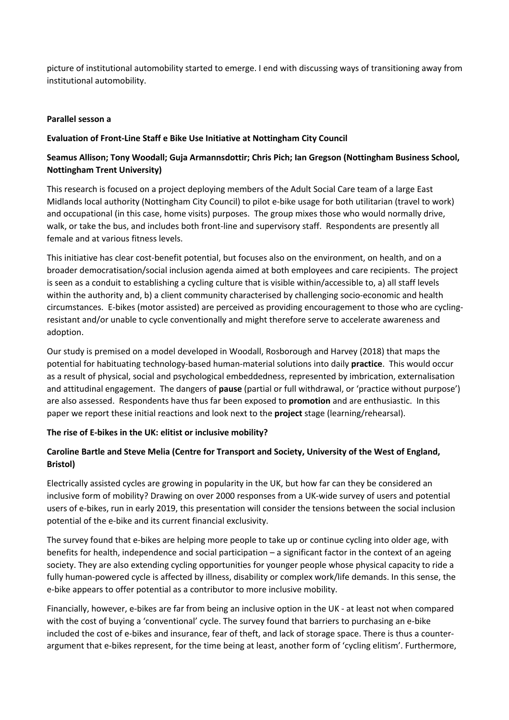picture of institutional automobility started to emerge. I end with discussing ways of transitioning away from institutional automobility.

#### **Parallel sesson a**

## **Evaluation of Front-Line Staff e Bike Use Initiative at Nottingham City Council**

# **Seamus Allison; Tony Woodall; Guja Armannsdottir; Chris Pich; Ian Gregson (Nottingham Business School, Nottingham Trent University)**

This research is focused on a project deploying members of the Adult Social Care team of a large East Midlands local authority (Nottingham City Council) to pilot e-bike usage for both utilitarian (travel to work) and occupational (in this case, home visits) purposes. The group mixes those who would normally drive, walk, or take the bus, and includes both front-line and supervisory staff. Respondents are presently all female and at various fitness levels.

This initiative has clear cost-benefit potential, but focuses also on the environment, on health, and on a broader democratisation/social inclusion agenda aimed at both employees and care recipients. The project is seen as a conduit to establishing a cycling culture that is visible within/accessible to, a) all staff levels within the authority and, b) a client community characterised by challenging socio-economic and health circumstances. E-bikes (motor assisted) are perceived as providing encouragement to those who are cyclingresistant and/or unable to cycle conventionally and might therefore serve to accelerate awareness and adoption.

Our study is premised on a model developed in Woodall, Rosborough and Harvey (2018) that maps the potential for habituating technology-based human-material solutions into daily **practice**. This would occur as a result of physical, social and psychological embeddedness, represented by imbrication, externalisation and attitudinal engagement. The dangers of **pause** (partial or full withdrawal, or 'practice without purpose') are also assessed. Respondents have thus far been exposed to **promotion** and are enthusiastic. In this paper we report these initial reactions and look next to the **project** stage (learning/rehearsal).

# **The rise of E-bikes in the UK: elitist or inclusive mobility?**

# **Caroline Bartle and Steve Melia (Centre for Transport and Society, University of the West of England, Bristol)**

Electrically assisted cycles are growing in popularity in the UK, but how far can they be considered an inclusive form of mobility? Drawing on over 2000 responses from a UK-wide survey of users and potential users of e-bikes, run in early 2019, this presentation will consider the tensions between the social inclusion potential of the e-bike and its current financial exclusivity.

The survey found that e-bikes are helping more people to take up or continue cycling into older age, with benefits for health, independence and social participation – a significant factor in the context of an ageing society. They are also extending cycling opportunities for younger people whose physical capacity to ride a fully human-powered cycle is affected by illness, disability or complex work/life demands. In this sense, the e-bike appears to offer potential as a contributor to more inclusive mobility.

Financially, however, e-bikes are far from being an inclusive option in the UK - at least not when compared with the cost of buying a 'conventional' cycle. The survey found that barriers to purchasing an e-bike included the cost of e-bikes and insurance, fear of theft, and lack of storage space. There is thus a counterargument that e-bikes represent, for the time being at least, another form of 'cycling elitism'. Furthermore,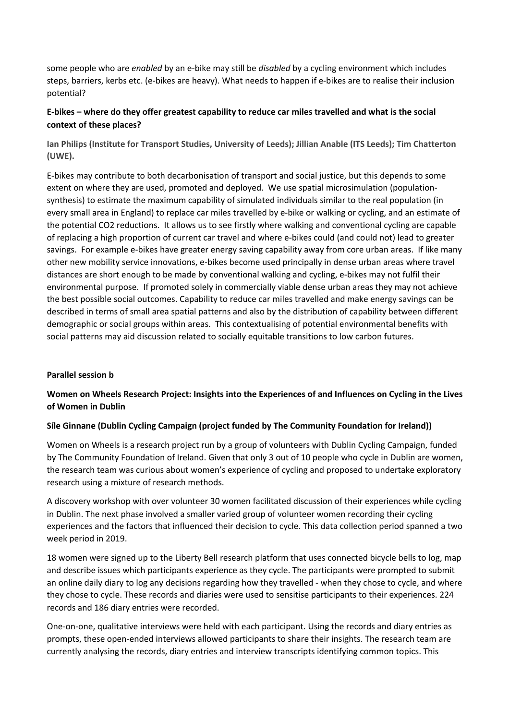some people who are *enabled* by an e-bike may still be *disabled* by a cycling environment which includes steps, barriers, kerbs etc. (e-bikes are heavy). What needs to happen if e-bikes are to realise their inclusion potential?

# **E-bikes – where do they offer greatest capability to reduce car miles travelled and what is the social context of these places?**

**Ian Philips (Institute for Transport Studies, University of Leeds); Jillian Anable (ITS Leeds); Tim Chatterton (UWE).**

E-bikes may contribute to both decarbonisation of transport and social justice, but this depends to some extent on where they are used, promoted and deployed. We use spatial microsimulation (populationsynthesis) to estimate the maximum capability of simulated individuals similar to the real population (in every small area in England) to replace car miles travelled by e-bike or walking or cycling, and an estimate of the potential CO2 reductions. It allows us to see firstly where walking and conventional cycling are capable of replacing a high proportion of current car travel and where e-bikes could (and could not) lead to greater savings. For example e-bikes have greater energy saving capability away from core urban areas. If like many other new mobility service innovations, e-bikes become used principally in dense urban areas where travel distances are short enough to be made by conventional walking and cycling, e-bikes may not fulfil their environmental purpose. If promoted solely in commercially viable dense urban areas they may not achieve the best possible social outcomes. Capability to reduce car miles travelled and make energy savings can be described in terms of small area spatial patterns and also by the distribution of capability between different demographic or social groups within areas. This contextualising of potential environmental benefits with social patterns may aid discussion related to socially equitable transitions to low carbon futures.

#### **Parallel session b**

# **Women on Wheels Research Project: Insights into the Experiences of and Influences on Cycling in the Lives of Women in Dublin**

#### **Síle Ginnane (Dublin Cycling Campaign (project funded by The Community Foundation for Ireland))**

Women on Wheels is a research project run by a group of volunteers with Dublin Cycling Campaign, funded by The Community Foundation of Ireland. Given that only 3 out of 10 people who cycle in Dublin are women, the research team was curious about women's experience of cycling and proposed to undertake exploratory research using a mixture of research methods.

A discovery workshop with over volunteer 30 women facilitated discussion of their experiences while cycling in Dublin. The next phase involved a smaller varied group of volunteer women recording their cycling experiences and the factors that influenced their decision to cycle. This data collection period spanned a two week period in 2019.

18 women were signed up to the Liberty Bell research platform that uses connected bicycle bells to log, map and describe issues which participants experience as they cycle. The participants were prompted to submit an online daily diary to log any decisions regarding how they travelled - when they chose to cycle, and where they chose to cycle. These records and diaries were used to sensitise participants to their experiences. 224 records and 186 diary entries were recorded.

One-on-one, qualitative interviews were held with each participant. Using the records and diary entries as prompts, these open-ended interviews allowed participants to share their insights. The research team are currently analysing the records, diary entries and interview transcripts identifying common topics. This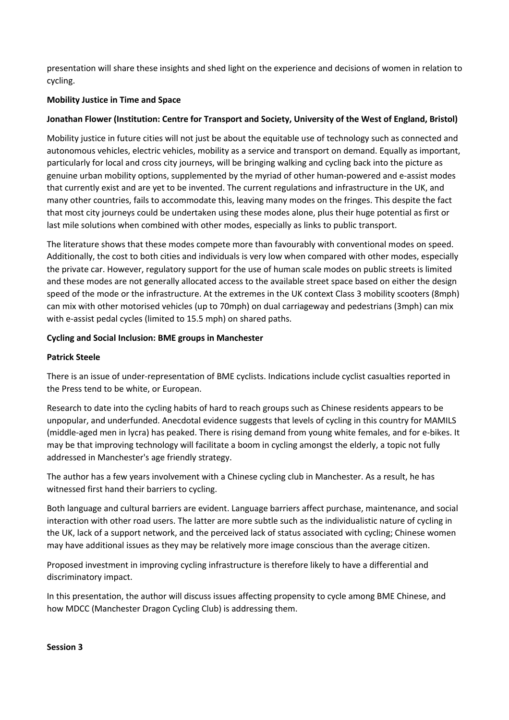presentation will share these insights and shed light on the experience and decisions of women in relation to cycling.

## **Mobility Justice in Time and Space**

## **Jonathan Flower (Institution: Centre for Transport and Society, University of the West of England, Bristol)**

Mobility justice in future cities will not just be about the equitable use of technology such as connected and autonomous vehicles, electric vehicles, mobility as a service and transport on demand. Equally as important, particularly for local and cross city journeys, will be bringing walking and cycling back into the picture as genuine urban mobility options, supplemented by the myriad of other human-powered and e-assist modes that currently exist and are yet to be invented. The current regulations and infrastructure in the UK, and many other countries, fails to accommodate this, leaving many modes on the fringes. This despite the fact that most city journeys could be undertaken using these modes alone, plus their huge potential as first or last mile solutions when combined with other modes, especially as links to public transport.

The literature shows that these modes compete more than favourably with conventional modes on speed. Additionally, the cost to both cities and individuals is very low when compared with other modes, especially the private car. However, regulatory support for the use of human scale modes on public streets is limited and these modes are not generally allocated access to the available street space based on either the design speed of the mode or the infrastructure. At the extremes in the UK context Class 3 mobility scooters (8mph) can mix with other motorised vehicles (up to 70mph) on dual carriageway and pedestrians (3mph) can mix with e-assist pedal cycles (limited to 15.5 mph) on shared paths.

## **Cycling and Social Inclusion: BME groups in Manchester**

## **Patrick Steele**

There is an issue of under-representation of BME cyclists. Indications include cyclist casualties reported in the Press tend to be white, or European.

Research to date into the cycling habits of hard to reach groups such as Chinese residents appears to be unpopular, and underfunded. Anecdotal evidence suggests that levels of cycling in this country for MAMILS (middle-aged men in lycra) has peaked. There is rising demand from young white females, and for e-bikes. It may be that improving technology will facilitate a boom in cycling amongst the elderly, a topic not fully addressed in Manchester's age friendly strategy.

The author has a few years involvement with a Chinese cycling club in Manchester. As a result, he has witnessed first hand their barriers to cycling.

Both language and cultural barriers are evident. Language barriers affect purchase, maintenance, and social interaction with other road users. The latter are more subtle such as the individualistic nature of cycling in the UK, lack of a support network, and the perceived lack of status associated with cycling; Chinese women may have additional issues as they may be relatively more image conscious than the average citizen.

Proposed investment in improving cycling infrastructure is therefore likely to have a differential and discriminatory impact.

In this presentation, the author will discuss issues affecting propensity to cycle among BME Chinese, and how MDCC (Manchester Dragon Cycling Club) is addressing them.

#### **Session 3**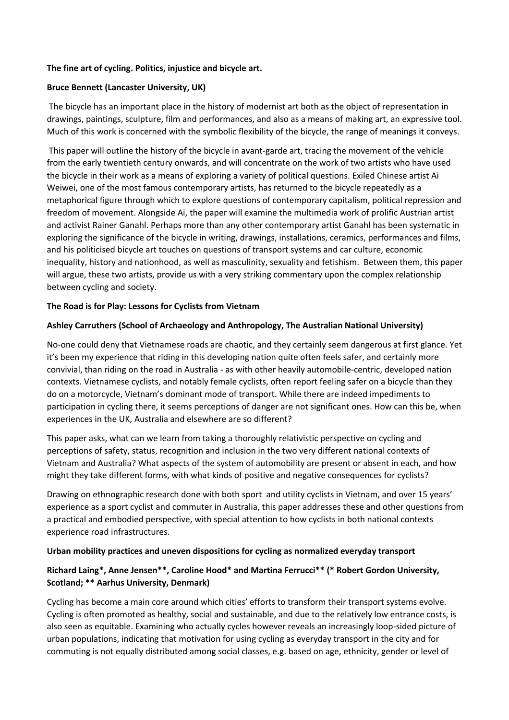# **The fine art of cycling. Politics, injustice and bicycle art.**

# **Bruce Bennett (Lancaster University, UK)**

The bicycle has an important place in the history of modernist art both as the object of representation in drawings, paintings, sculpture, film and performances, and also as a means of making art, an expressive tool. Much of this work is concerned with the symbolic flexibility of the bicycle, the range of meanings it conveys.

This paper will outline the history of the bicycle in avant-garde art, tracing the movement of the vehicle from the early twentieth century onwards, and will concentrate on the work of two artists who have used the bicycle in their work as a means of exploring a variety of political questions. Exiled Chinese artist Ai Weiwei, one of the most famous contemporary artists, has returned to the bicycle repeatedly as a metaphorical figure through which to explore questions of contemporary capitalism, political repression and freedom of movement. Alongside Ai, the paper will examine the multimedia work of prolific Austrian artist and activist Rainer Ganahl. Perhaps more than any other contemporary artist Ganahl has been systematic in exploring the significance of the bicycle in writing, drawings, installations, ceramics, performances and films, and his politicised bicycle art touches on questions of transport systems and car culture, economic inequality, history and nationhood, as well as masculinity, sexuality and fetishism. Between them, this paper will argue, these two artists, provide us with a very striking commentary upon the complex relationship between cycling and society.

# **The Road is for Play: Lessons for Cyclists from Vietnam**

# **Ashley Carruthers (School of Archaeology and Anthropology, The Australian National University)**

No-one could deny that Vietnamese roads are chaotic, and they certainly seem dangerous at first glance. Yet it's been my experience that riding in this developing nation quite often feels safer, and certainly more convivial, than riding on the road in Australia - as with other heavily automobile-centric, developed nation contexts. Vietnamese cyclists, and notably female cyclists, often report feeling safer on a bicycle than they do on a motorcycle, Vietnam's dominant mode of transport. While there are indeed impediments to participation in cycling there, it seems perceptions of danger are not significant ones. How can this be, when experiences in the UK, Australia and elsewhere are so different?

This paper asks, what can we learn from taking a thoroughly relativistic perspective on cycling and perceptions of safety, status, recognition and inclusion in the two very different national contexts of Vietnam and Australia? What aspects of the system of automobility are present or absent in each, and how might they take different forms, with what kinds of positive and negative consequences for cyclists?

Drawing on ethnographic research done with both sport and utility cyclists in Vietnam, and over 15 years' experience as a sport cyclist and commuter in Australia, this paper addresses these and other questions from a practical and embodied perspective, with special attention to how cyclists in both national contexts experience road infrastructures.

# **Urban mobility practices and uneven dispositions for cycling as normalized everyday transport**

# **Richard Laing\*, Anne Jensen\*\*, Caroline Hood\* and Martina Ferrucci\*\* (\* Robert Gordon University, Scotland; \*\* Aarhus University, Denmark)**

Cycling has become a main core around which cities' efforts to transform their transport systems evolve. Cycling is often promoted as healthy, social and sustainable, and due to the relatively low entrance costs, is also seen as equitable. Examining who actually cycles however reveals an increasingly loop-sided picture of urban populations, indicating that motivation for using cycling as everyday transport in the city and for commuting is not equally distributed among social classes, e.g. based on age, ethnicity, gender or level of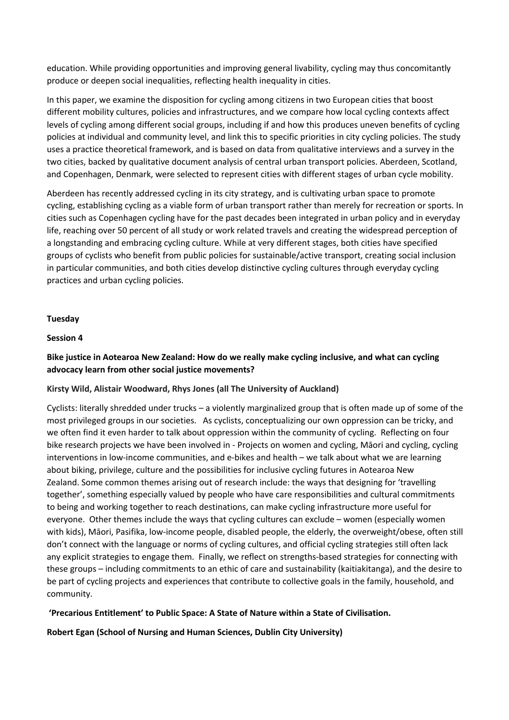education. While providing opportunities and improving general livability, cycling may thus concomitantly produce or deepen social inequalities, reflecting health inequality in cities.

In this paper, we examine the disposition for cycling among citizens in two European cities that boost different mobility cultures, policies and infrastructures, and we compare how local cycling contexts affect levels of cycling among different social groups, including if and how this produces uneven benefits of cycling policies at individual and community level, and link this to specific priorities in city cycling policies. The study uses a practice theoretical framework, and is based on data from qualitative interviews and a survey in the two cities, backed by qualitative document analysis of central urban transport policies. Aberdeen, Scotland, and Copenhagen, Denmark, were selected to represent cities with different stages of urban cycle mobility.

Aberdeen has recently addressed cycling in its city strategy, and is cultivating urban space to promote cycling, establishing cycling as a viable form of urban transport rather than merely for recreation or sports. In cities such as Copenhagen cycling have for the past decades been integrated in urban policy and in everyday life, reaching over 50 percent of all study or work related travels and creating the widespread perception of a longstanding and embracing cycling culture. While at very different stages, both cities have specified groups of cyclists who benefit from public policies for sustainable/active transport, creating social inclusion in particular communities, and both cities develop distinctive cycling cultures through everyday cycling practices and urban cycling policies.

#### **Tuesday**

#### **Session 4**

# **Bike justice in Aotearoa New Zealand: How do we really make cycling inclusive, and what can cycling advocacy learn from other social justice movements?**

#### **Kirsty Wild, Alistair Woodward, Rhys Jones (all The University of Auckland)**

Cyclists: literally shredded under trucks – a violently marginalized group that is often made up of some of the most privileged groups in our societies. As cyclists, conceptualizing our own oppression can be tricky, and we often find it even harder to talk about oppression within the community of cycling. Reflecting on four bike research projects we have been involved in - Projects on women and cycling, Māori and cycling, cycling interventions in low-income communities, and e-bikes and health – we talk about what we are learning about biking, privilege, culture and the possibilities for inclusive cycling futures in Aotearoa New Zealand. Some common themes arising out of research include: the ways that designing for 'travelling together', something especially valued by people who have care responsibilities and cultural commitments to being and working together to reach destinations, can make cycling infrastructure more useful for everyone. Other themes include the ways that cycling cultures can exclude – women (especially women with kids), Māori, Pasifika, low-income people, disabled people, the elderly, the overweight/obese, often still don't connect with the language or norms of cycling cultures, and official cycling strategies still often lack any explicit strategies to engage them. Finally, we reflect on strengths-based strategies for connecting with these groups – including commitments to an ethic of care and sustainability (kaitiakitanga), and the desire to be part of cycling projects and experiences that contribute to collective goals in the family, household, and community.

**'Precarious Entitlement' to Public Space: A State of Nature within a State of Civilisation.**

**Robert Egan (School of Nursing and Human Sciences, Dublin City University)**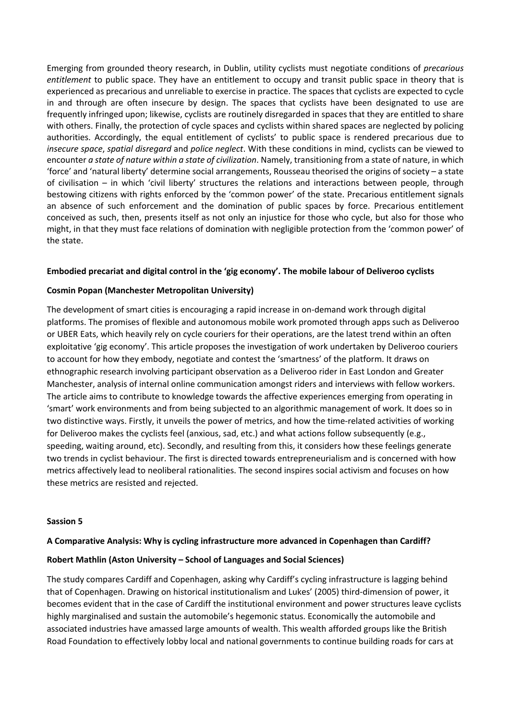Emerging from grounded theory research, in Dublin, utility cyclists must negotiate conditions of *precarious entitlement* to public space. They have an entitlement to occupy and transit public space in theory that is experienced as precarious and unreliable to exercise in practice. The spaces that cyclists are expected to cycle in and through are often insecure by design. The spaces that cyclists have been designated to use are frequently infringed upon; likewise, cyclists are routinely disregarded in spaces that they are entitled to share with others. Finally, the protection of cycle spaces and cyclists within shared spaces are neglected by policing authorities. Accordingly, the equal entitlement of cyclists' to public space is rendered precarious due to *insecure space*, *spatial disregard* and *police neglect*. With these conditions in mind, cyclists can be viewed to encounter *a state of nature within a state of civilization*. Namely, transitioning from a state of nature, in which 'force' and 'natural liberty' determine social arrangements, Rousseau theorised the origins of society – a state of civilisation – in which 'civil liberty' structures the relations and interactions between people, through bestowing citizens with rights enforced by the 'common power' of the state. Precarious entitlement signals an absence of such enforcement and the domination of public spaces by force. Precarious entitlement conceived as such, then, presents itself as not only an injustice for those who cycle, but also for those who might, in that they must face relations of domination with negligible protection from the 'common power' of the state.

#### **Embodied precariat and digital control in the 'gig economy'. The mobile labour of Deliveroo cyclists**

## **Cosmin Popan (Manchester Metropolitan University)**

The development of smart cities is encouraging a rapid increase in on-demand work through digital platforms. The promises of flexible and autonomous mobile work promoted through apps such as Deliveroo or UBER Eats, which heavily rely on cycle couriers for their operations, are the latest trend within an often exploitative 'gig economy'. This article proposes the investigation of work undertaken by Deliveroo couriers to account for how they embody, negotiate and contest the 'smartness' of the platform. It draws on ethnographic research involving participant observation as a Deliveroo rider in East London and Greater Manchester, analysis of internal online communication amongst riders and interviews with fellow workers. The article aims to contribute to knowledge towards the affective experiences emerging from operating in 'smart' work environments and from being subjected to an algorithmic management of work. It does so in two distinctive ways. Firstly, it unveils the power of metrics, and how the time-related activities of working for Deliveroo makes the cyclists feel (anxious, sad, etc.) and what actions follow subsequently (e.g., speeding, waiting around, etc). Secondly, and resulting from this, it considers how these feelings generate two trends in cyclist behaviour. The first is directed towards entrepreneurialism and is concerned with how metrics affectively lead to neoliberal rationalities. The second inspires social activism and focuses on how these metrics are resisted and rejected.

#### **Sassion 5**

#### **A Comparative Analysis: Why is cycling infrastructure more advanced in Copenhagen than Cardiff?**

#### **Robert Mathlin (Aston University – School of Languages and Social Sciences)**

The study compares Cardiff and Copenhagen, asking why Cardiff's cycling infrastructure is lagging behind that of Copenhagen. Drawing on historical institutionalism and Lukes' (2005) third-dimension of power, it becomes evident that in the case of Cardiff the institutional environment and power structures leave cyclists highly marginalised and sustain the automobile's hegemonic status. Economically the automobile and associated industries have amassed large amounts of wealth. This wealth afforded groups like the British Road Foundation to effectively lobby local and national governments to continue building roads for cars at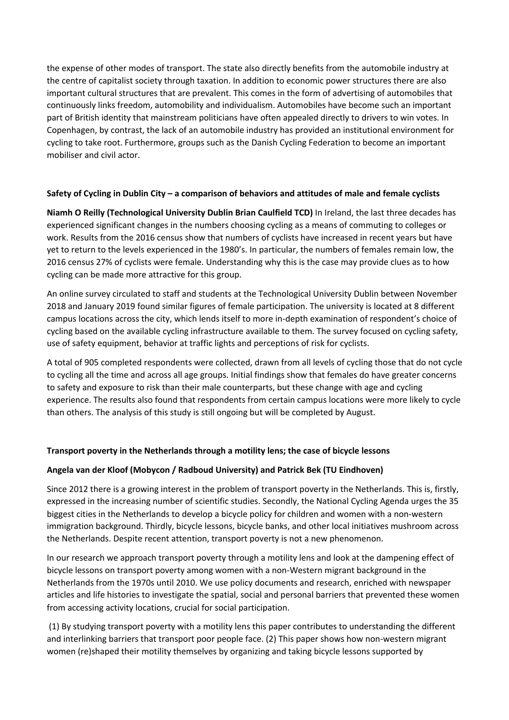the expense of other modes of transport. The state also directly benefits from the automobile industry at the centre of capitalist society through taxation. In addition to economic power structures there are also important cultural structures that are prevalent. This comes in the form of advertising of automobiles that continuously links freedom, automobility and individualism. Automobiles have become such an important part of British identity that mainstream politicians have often appealed directly to drivers to win votes. In Copenhagen, by contrast, the lack of an automobile industry has provided an institutional environment for cycling to take root. Furthermore, groups such as the Danish Cycling Federation to become an important mobiliser and civil actor.

## **Safety of Cycling in Dublin City – a comparison of behaviors and attitudes of male and female cyclists**

**Niamh O Reilly (Technological University Dublin Brian Caulfield TCD)** In Ireland, the last three decades has experienced significant changes in the numbers choosing cycling as a means of commuting to colleges or work. Results from the 2016 census show that numbers of cyclists have increased in recent years but have yet to return to the levels experienced in the 1980's. In particular, the numbers of females remain low, the 2016 census 27% of cyclists were female. Understanding why this is the case may provide clues as to how cycling can be made more attractive for this group.

An online survey circulated to staff and students at the Technological University Dublin between November 2018 and January 2019 found similar figures of female participation. The university is located at 8 different campus locations across the city, which lends itself to more in-depth examination of respondent's choice of cycling based on the available cycling infrastructure available to them. The survey focused on cycling safety, use of safety equipment, behavior at traffic lights and perceptions of risk for cyclists.

A total of 905 completed respondents were collected, drawn from all levels of cycling those that do not cycle to cycling all the time and across all age groups. Initial findings show that females do have greater concerns to safety and exposure to risk than their male counterparts, but these change with age and cycling experience. The results also found that respondents from certain campus locations were more likely to cycle than others. The analysis of this study is still ongoing but will be completed by August.

# **Transport poverty in the Netherlands through a motility lens; the case of bicycle lessons**

# **Angela van der Kloof (Mobycon / Radboud University) and Patrick Bek (TU Eindhoven)**

Since 2012 there is a growing interest in the problem of transport poverty in the Netherlands. This is, firstly, expressed in the increasing number of scientific studies. Secondly, the National Cycling Agenda urges the 35 biggest cities in the Netherlands to develop a bicycle policy for children and women with a non-western immigration background. Thirdly, bicycle lessons, bicycle banks, and other local initiatives mushroom across the Netherlands. Despite recent attention, transport poverty is not a new phenomenon.

In our research we approach transport poverty through a motility lens and look at the dampening effect of bicycle lessons on transport poverty among women with a non-Western migrant background in the Netherlands from the 1970s until 2010. We use policy documents and research, enriched with newspaper articles and life histories to investigate the spatial, social and personal barriers that prevented these women from accessing activity locations, crucial for social participation.

(1) By studying transport poverty with a motility lens this paper contributes to understanding the different and interlinking barriers that transport poor people face. (2) This paper shows how non-western migrant women (re)shaped their motility themselves by organizing and taking bicycle lessons supported by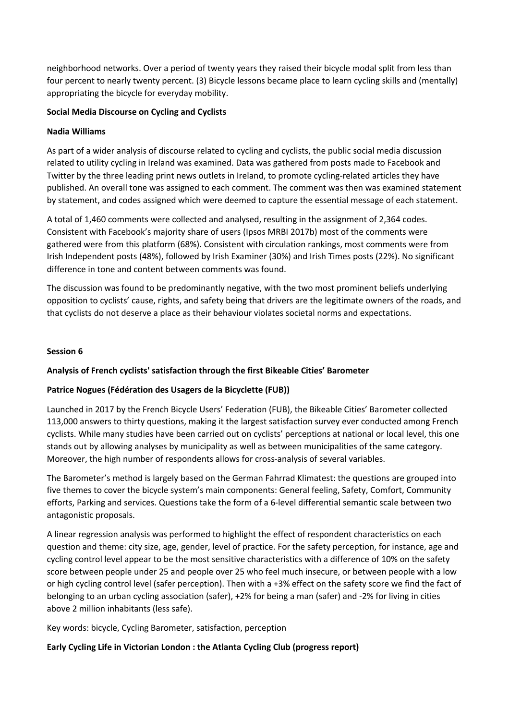neighborhood networks. Over a period of twenty years they raised their bicycle modal split from less than four percent to nearly twenty percent. (3) Bicycle lessons became place to learn cycling skills and (mentally) appropriating the bicycle for everyday mobility.

## **Social Media Discourse on Cycling and Cyclists**

## **Nadia Williams**

As part of a wider analysis of discourse related to cycling and cyclists, the public social media discussion related to utility cycling in Ireland was examined. Data was gathered from posts made to Facebook and Twitter by the three leading print news outlets in Ireland, to promote cycling-related articles they have published. An overall tone was assigned to each comment. The comment was then was examined statement by statement, and codes assigned which were deemed to capture the essential message of each statement.

A total of 1,460 comments were collected and analysed, resulting in the assignment of 2,364 codes. Consistent with Facebook's majority share of users (Ipsos MRBI 2017b) most of the comments were gathered were from this platform (68%). Consistent with circulation rankings, most comments were from Irish Independent posts (48%), followed by Irish Examiner (30%) and Irish Times posts (22%). No significant difference in tone and content between comments was found.

The discussion was found to be predominantly negative, with the two most prominent beliefs underlying opposition to cyclists' cause, rights, and safety being that drivers are the legitimate owners of the roads, and that cyclists do not deserve a place as their behaviour violates societal norms and expectations.

## **Session 6**

# **Analysis of French cyclists' satisfaction through the first Bikeable Cities' Barometer**

# **Patrice Nogues (Fédération des Usagers de la Bicyclette (FUB))**

Launched in 2017 by the French Bicycle Users' Federation (FUB), the Bikeable Cities' Barometer collected 113,000 answers to thirty questions, making it the largest satisfaction survey ever conducted among French cyclists. While many studies have been carried out on cyclists' perceptions at national or local level, this one stands out by allowing analyses by municipality as well as between municipalities of the same category. Moreover, the high number of respondents allows for cross-analysis of several variables.

The Barometer's method is largely based on the German Fahrrad Klimatest: the questions are grouped into five themes to cover the bicycle system's main components: General feeling, Safety, Comfort, Community efforts, Parking and services. Questions take the form of a 6-level differential semantic scale between two antagonistic proposals.

A linear regression analysis was performed to highlight the effect of respondent characteristics on each question and theme: city size, age, gender, level of practice. For the safety perception, for instance, age and cycling control level appear to be the most sensitive characteristics with a difference of 10% on the safety score between people under 25 and people over 25 who feel much insecure, or between people with a low or high cycling control level (safer perception). Then with a +3% effect on the safety score we find the fact of belonging to an urban cycling association (safer), +2% for being a man (safer) and -2% for living in cities above 2 million inhabitants (less safe).

Key words: bicycle, Cycling Barometer, satisfaction, perception

# **Early Cycling Life in Victorian London : the Atlanta Cycling Club (progress report)**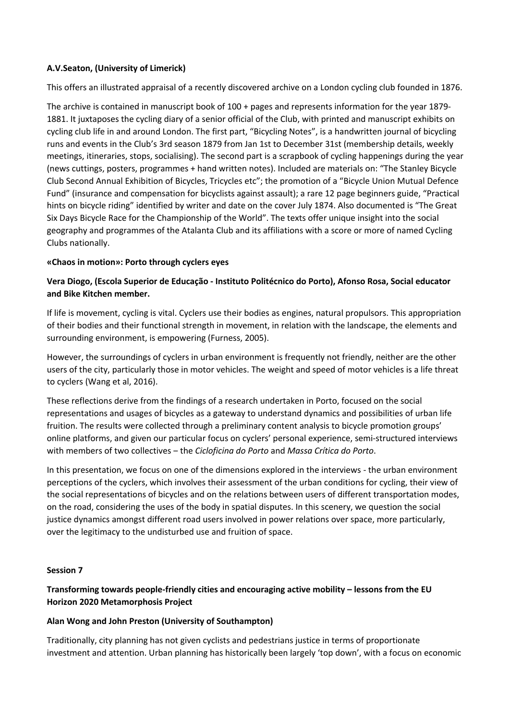# **A.V.Seaton, (University of Limerick)**

This offers an illustrated appraisal of a recently discovered archive on a London cycling club founded in 1876.

The archive is contained in manuscript book of 100 + pages and represents information for the year 1879- 1881. It juxtaposes the cycling diary of a senior official of the Club, with printed and manuscript exhibits on cycling club life in and around London. The first part, "Bicycling Notes", is a handwritten journal of bicycling runs and events in the Club's 3rd season 1879 from Jan 1st to December 31st (membership details, weekly meetings, itineraries, stops, socialising). The second part is a scrapbook of cycling happenings during the year (news cuttings, posters, programmes + hand written notes). Included are materials on: "The Stanley Bicycle Club Second Annual Exhibition of Bicycles, Tricycles etc"; the promotion of a "Bicycle Union Mutual Defence Fund" (insurance and compensation for bicyclists against assault); a rare 12 page beginners guide, "Practical hints on bicycle riding" identified by writer and date on the cover July 1874. Also documented is "The Great Six Days Bicycle Race for the Championship of the World". The texts offer unique insight into the social geography and programmes of the Atalanta Club and its affiliations with a score or more of named Cycling Clubs nationally.

## **«Chaos in motion»: Porto through cyclers eyes**

# **Vera Diogo, (Escola Superior de Educação - Instituto Politécnico do Porto), Afonso Rosa, Social educator and Bike Kitchen member.**

If life is movement, cycling is vital. Cyclers use their bodies as engines, natural propulsors. This appropriation of their bodies and their functional strength in movement, in relation with the landscape, the elements and surrounding environment, is empowering (Furness, 2005).

However, the surroundings of cyclers in urban environment is frequently not friendly, neither are the other users of the city, particularly those in motor vehicles. The weight and speed of motor vehicles is a life threat to cyclers (Wang et al, 2016).

These reflections derive from the findings of a research undertaken in Porto, focused on the social representations and usages of bicycles as a gateway to understand dynamics and possibilities of urban life fruition. The results were collected through a preliminary content analysis to bicycle promotion groups' online platforms, and given our particular focus on cyclers' personal experience, semi-structured interviews with members of two collectives ‒ the *Cicloficina do Porto* and *Massa Crítica do Porto*.

In this presentation, we focus on one of the dimensions explored in the interviews - the urban environment perceptions of the cyclers, which involves their assessment of the urban conditions for cycling, their view of the social representations of bicycles and on the relations between users of different transportation modes, on the road, considering the uses of the body in spatial disputes. In this scenery, we question the social justice dynamics amongst different road users involved in power relations over space, more particularly, over the legitimacy to the undisturbed use and fruition of space.

#### **Session 7**

# **Transforming towards people-friendly cities and encouraging active mobility – lessons from the EU Horizon 2020 Metamorphosis Project**

#### **Alan Wong and John Preston (University of Southampton)**

Traditionally, city planning has not given cyclists and pedestrians justice in terms of proportionate investment and attention. Urban planning has historically been largely 'top down', with a focus on economic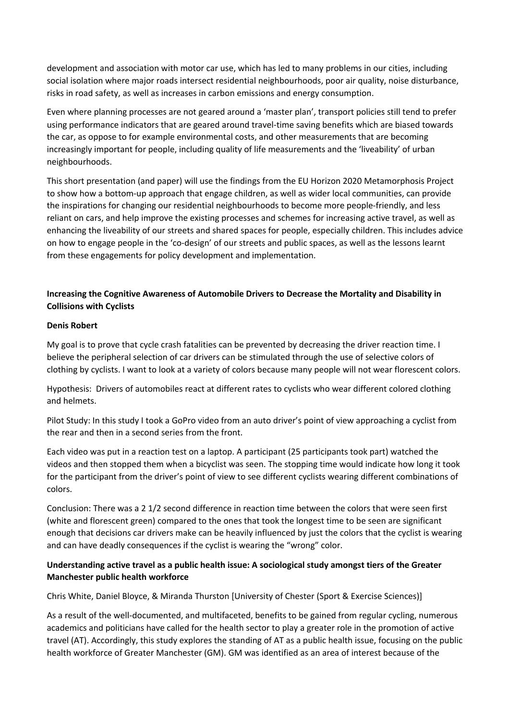development and association with motor car use, which has led to many problems in our cities, including social isolation where major roads intersect residential neighbourhoods, poor air quality, noise disturbance, risks in road safety, as well as increases in carbon emissions and energy consumption.

Even where planning processes are not geared around a 'master plan', transport policies still tend to prefer using performance indicators that are geared around travel-time saving benefits which are biased towards the car, as oppose to for example environmental costs, and other measurements that are becoming increasingly important for people, including quality of life measurements and the 'liveability' of urban neighbourhoods.

This short presentation (and paper) will use the findings from the EU Horizon 2020 Metamorphosis Project to show how a bottom-up approach that engage children, as well as wider local communities, can provide the inspirations for changing our residential neighbourhoods to become more people-friendly, and less reliant on cars, and help improve the existing processes and schemes for increasing active travel, as well as enhancing the liveability of our streets and shared spaces for people, especially children. This includes advice on how to engage people in the 'co-design' of our streets and public spaces, as well as the lessons learnt from these engagements for policy development and implementation.

# **Increasing the Cognitive Awareness of Automobile Drivers to Decrease the Mortality and Disability in Collisions with Cyclists**

#### **Denis Robert**

My goal is to prove that cycle crash fatalities can be prevented by decreasing the driver reaction time. I believe the peripheral selection of car drivers can be stimulated through the use of selective colors of clothing by cyclists. I want to look at a variety of colors because many people will not wear florescent colors.

Hypothesis: Drivers of automobiles react at different rates to cyclists who wear different colored clothing and helmets.

Pilot Study: In this study I took a GoPro video from an auto driver's point of view approaching a cyclist from the rear and then in a second series from the front.

Each video was put in a reaction test on a laptop. A participant (25 participants took part) watched the videos and then stopped them when a bicyclist was seen. The stopping time would indicate how long it took for the participant from the driver's point of view to see different cyclists wearing different combinations of colors.

Conclusion: There was a 2 1/2 second difference in reaction time between the colors that were seen first (white and florescent green) compared to the ones that took the longest time to be seen are significant enough that decisions car drivers make can be heavily influenced by just the colors that the cyclist is wearing and can have deadly consequences if the cyclist is wearing the "wrong" color.

# **Understanding active travel as a public health issue: A sociological study amongst tiers of the Greater Manchester public health workforce**

Chris White, Daniel Bloyce, & Miranda Thurston [University of Chester (Sport & Exercise Sciences)]

As a result of the well-documented, and multifaceted, benefits to be gained from regular cycling, numerous academics and politicians have called for the health sector to play a greater role in the promotion of active travel (AT). Accordingly, this study explores the standing of AT as a public health issue, focusing on the public health workforce of Greater Manchester (GM). GM was identified as an area of interest because of the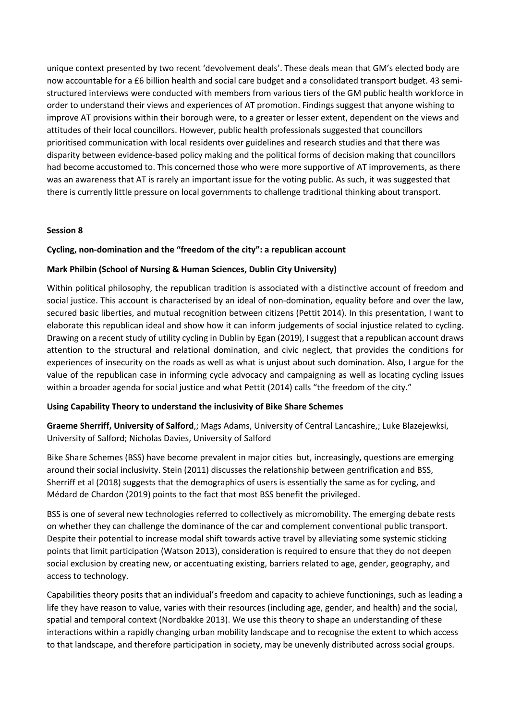unique context presented by two recent 'devolvement deals'. These deals mean that GM's elected body are now accountable for a £6 billion health and social care budget and a consolidated transport budget. 43 semistructured interviews were conducted with members from various tiers of the GM public health workforce in order to understand their views and experiences of AT promotion. Findings suggest that anyone wishing to improve AT provisions within their borough were, to a greater or lesser extent, dependent on the views and attitudes of their local councillors. However, public health professionals suggested that councillors prioritised communication with local residents over guidelines and research studies and that there was disparity between evidence-based policy making and the political forms of decision making that councillors had become accustomed to. This concerned those who were more supportive of AT improvements, as there was an awareness that AT is rarely an important issue for the voting public. As such, it was suggested that there is currently little pressure on local governments to challenge traditional thinking about transport.

## **Session 8**

## **Cycling, non-domination and the "freedom of the city": a republican account**

#### **Mark Philbin (School of Nursing & Human Sciences, Dublin City University)**

Within political philosophy, the republican tradition is associated with a distinctive account of freedom and social justice. This account is characterised by an ideal of non-domination, equality before and over the law, secured basic liberties, and mutual recognition between citizens (Pettit 2014). In this presentation, I want to elaborate this republican ideal and show how it can inform judgements of social injustice related to cycling. Drawing on a recent study of utility cycling in Dublin by Egan (2019), I suggest that a republican account draws attention to the structural and relational domination, and civic neglect, that provides the conditions for experiences of insecurity on the roads as well as what is unjust about such domination. Also, I argue for the value of the republican case in informing cycle advocacy and campaigning as well as locating cycling issues within a broader agenda for social justice and what Pettit (2014) calls "the freedom of the city."

#### **Using Capability Theory to understand the inclusivity of Bike Share Schemes**

**Graeme Sherriff, University of Salford**,; Mags Adams, University of Central Lancashire,; Luke Blazejewksi, University of Salford; Nicholas Davies, University of Salford

Bike Share Schemes (BSS) have become prevalent in major cities but, increasingly, questions are emerging around their social inclusivity. Stein (2011) discusses the relationship between gentrification and BSS, Sherriff et al (2018) suggests that the demographics of users is essentially the same as for cycling, and Médard de Chardon (2019) points to the fact that most BSS benefit the privileged.

BSS is one of several new technologies referred to collectively as micromobility. The emerging debate rests on whether they can challenge the dominance of the car and complement conventional public transport. Despite their potential to increase modal shift towards active travel by alleviating some systemic sticking points that limit participation (Watson 2013), consideration is required to ensure that they do not deepen social exclusion by creating new, or accentuating existing, barriers related to age, gender, geography, and access to technology.

Capabilities theory posits that an individual's freedom and capacity to achieve functionings, such as leading a life they have reason to value, varies with their resources (including age, gender, and health) and the social, spatial and temporal context (Nordbakke 2013). We use this theory to shape an understanding of these interactions within a rapidly changing urban mobility landscape and to recognise the extent to which access to that landscape, and therefore participation in society, may be unevenly distributed across social groups.